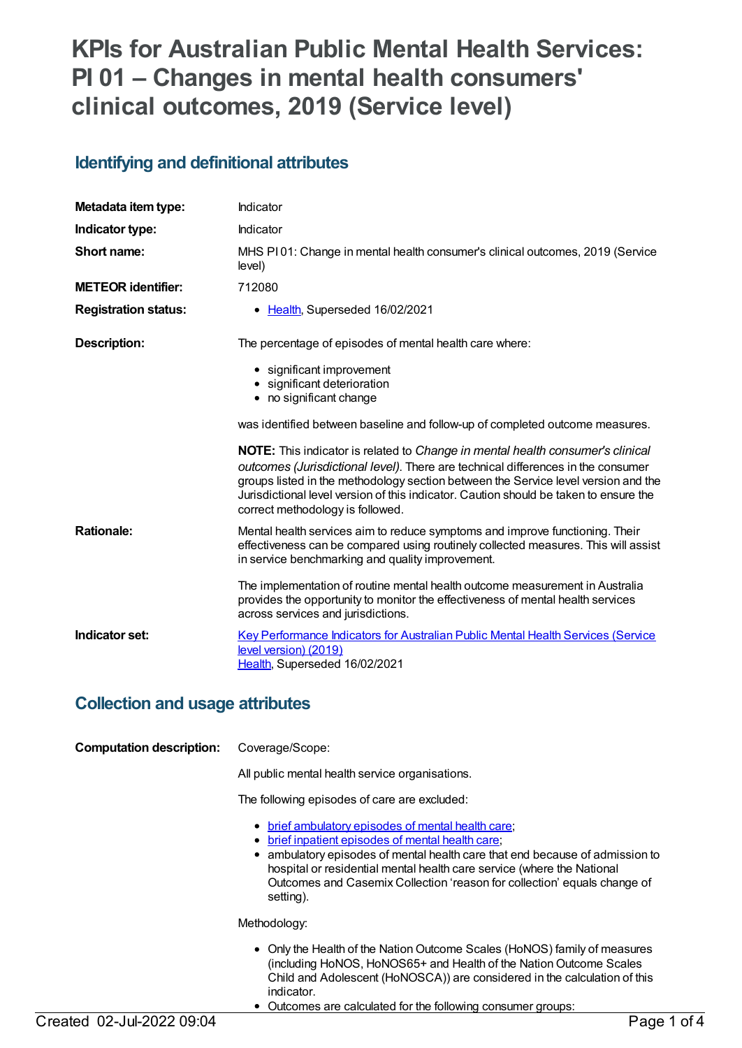# **KPIs for Australian Public Mental Health Services: PI 01 – Changes in mental health consumers' clinical outcomes, 2019 (Service level)**

### **Identifying and definitional attributes**

| Metadata item type:         | Indicator                                                                                                                                                                                                                                                                                                                                                                                    |
|-----------------------------|----------------------------------------------------------------------------------------------------------------------------------------------------------------------------------------------------------------------------------------------------------------------------------------------------------------------------------------------------------------------------------------------|
| Indicator type:             | Indicator                                                                                                                                                                                                                                                                                                                                                                                    |
| Short name:                 | MHS PI01: Change in mental health consumer's clinical outcomes, 2019 (Service<br>level)                                                                                                                                                                                                                                                                                                      |
| <b>METEOR identifier:</b>   | 712080                                                                                                                                                                                                                                                                                                                                                                                       |
| <b>Registration status:</b> | Health, Superseded 16/02/2021                                                                                                                                                                                                                                                                                                                                                                |
| Description:                | The percentage of episodes of mental health care where:                                                                                                                                                                                                                                                                                                                                      |
|                             | • significant improvement<br>• significant deterioration<br>• no significant change                                                                                                                                                                                                                                                                                                          |
|                             | was identified between baseline and follow-up of completed outcome measures.                                                                                                                                                                                                                                                                                                                 |
|                             | <b>NOTE:</b> This indicator is related to Change in mental health consumer's clinical<br>outcomes (Jurisdictional level). There are technical differences in the consumer<br>groups listed in the methodology section between the Service level version and the<br>Jurisdictional level version of this indicator. Caution should be taken to ensure the<br>correct methodology is followed. |
| <b>Rationale:</b>           | Mental health services aim to reduce symptoms and improve functioning. Their<br>effectiveness can be compared using routinely collected measures. This will assist<br>in service benchmarking and quality improvement.                                                                                                                                                                       |
|                             | The implementation of routine mental health outcome measurement in Australia<br>provides the opportunity to monitor the effectiveness of mental health services<br>across services and jurisdictions.                                                                                                                                                                                        |
| Indicator set:              | <b>Key Performance Indicators for Australian Public Mental Health Services (Service</b><br>level version) (2019)<br>Health, Superseded 16/02/2021                                                                                                                                                                                                                                            |

### **Collection and usage attributes**

| <b>Computation description:</b> | Coverage/Scope:                                                                                                                                                                                                                                                                                                                                                       |
|---------------------------------|-----------------------------------------------------------------------------------------------------------------------------------------------------------------------------------------------------------------------------------------------------------------------------------------------------------------------------------------------------------------------|
|                                 | All public mental health service organisations.                                                                                                                                                                                                                                                                                                                       |
|                                 | The following episodes of care are excluded:                                                                                                                                                                                                                                                                                                                          |
|                                 | • brief ambulatory episodes of mental health care;<br><u>brief inpatient episodes of mental health care</u> ;<br>٠<br>• ambulatory episodes of mental health care that end because of admission to<br>hospital or residential mental health care service (where the National<br>Outcomes and Casemix Collection 'reason for collection' equals change of<br>setting). |
|                                 | Methodology:                                                                                                                                                                                                                                                                                                                                                          |
|                                 | • Only the Health of the Nation Outcome Scales (HoNOS) family of measures<br>(including HoNOS, HoNOS65+ and Health of the Nation Outcome Scales<br>Child and Adolescent (HoNOSCA)) are considered in the calculation of this<br>indicator.<br>Outcomes are calculated for the following consumer groups:                                                              |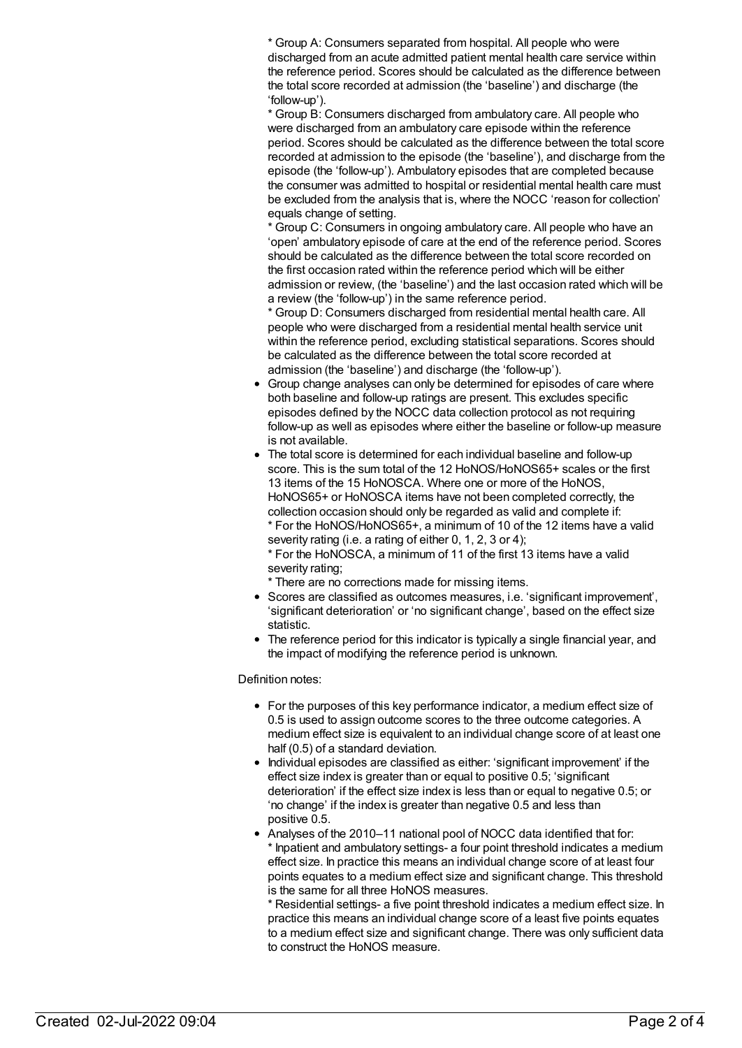\* Group A: Consumers separated from hospital. All people who were discharged from an acute admitted patient mental health care service within the reference period. Scores should be calculated as the difference between the total score recorded at admission (the 'baseline') and discharge (the 'follow-up').

\* Group B: Consumers discharged from ambulatory care. All people who were discharged from an ambulatory care episode within the reference period. Scores should be calculated as the difference between the total score recorded at admission to the episode (the 'baseline'), and discharge from the episode (the 'follow-up'). Ambulatory episodes that are completed because the consumer was admitted to hospital or residential mental health care must be excluded from the analysis that is, where the NOCC 'reason for collection' equals change of setting.

\* Group C: Consumers in ongoing ambulatory care. All people who have an 'open' ambulatory episode of care at the end of the reference period. Scores should be calculated as the difference between the total score recorded on the first occasion rated within the reference period which will be either admission or review, (the 'baseline') and the last occasion rated which will be a review (the 'follow-up') in the same reference period.

\* Group D: Consumers discharged from residential mental health care. All people who were discharged from a residential mental health service unit within the reference period, excluding statistical separations. Scores should be calculated as the difference between the total score recorded at admission (the 'baseline') and discharge (the 'follow-up').

- Group change analyses can only be determined for episodes of care where both baseline and follow-up ratings are present. This excludes specific episodes defined by the NOCC data collection protocol as not requiring follow-up as well as episodes where either the baseline or follow-up measure is not available.
- The total score is determined for each individual baseline and follow-up score. This is the sum total of the 12 HoNOS/HoNOS65+ scales or the first 13 items of the 15 HoNOSCA. Where one or more of the HoNOS, HoNOS65+ or HoNOSCA items have not been completed correctly, the collection occasion should only be regarded as valid and complete if: \* For the HoNOS/HoNOS65+, a minimum of 10 of the 12 items have a valid severity rating (i.e. a rating of either 0, 1, 2, 3 or 4);

\* For the HoNOSCA, a minimum of 11 of the first 13 items have a valid severity rating;

\* There are no corrections made for missing items.

- Scores are classified as outcomes measures, i.e. 'significant improvement', 'significant deterioration' or 'no significant change', based on the effect size statistic.
- The reference period for this indicator is typically a single financial year, and the impact of modifying the reference period is unknown.

#### Definition notes:

- For the purposes of this key performance indicator, a medium effect size of 0.5 is used to assign outcome scores to the three outcome categories. A medium effect size is equivalent to an individual change score of at least one half (0.5) of a standard deviation.
- Individual episodes are classified as either: 'significant improvement' if the effect size index is greater than or equal to positive 0.5; 'significant deterioration' if the effect size index is less than or equal to negative 0.5; or 'no change' if the index is greater than negative 0.5 and less than positive 0.5.
- Analyses of the 2010–11 national pool of NOCC data identified that for: Inpatient and ambulatory settings- a four point threshold indicates a medium effect size. In practice this means an individual change score of at least four points equates to a medium effect size and significant change. This threshold is the same for all three HoNOS measures.

\* Residential settings- a five point threshold indicates a medium effect size. In practice this means an individual change score of a least five points equates to a medium effect size and significant change. There was only sufficient data to construct the HoNOS measure.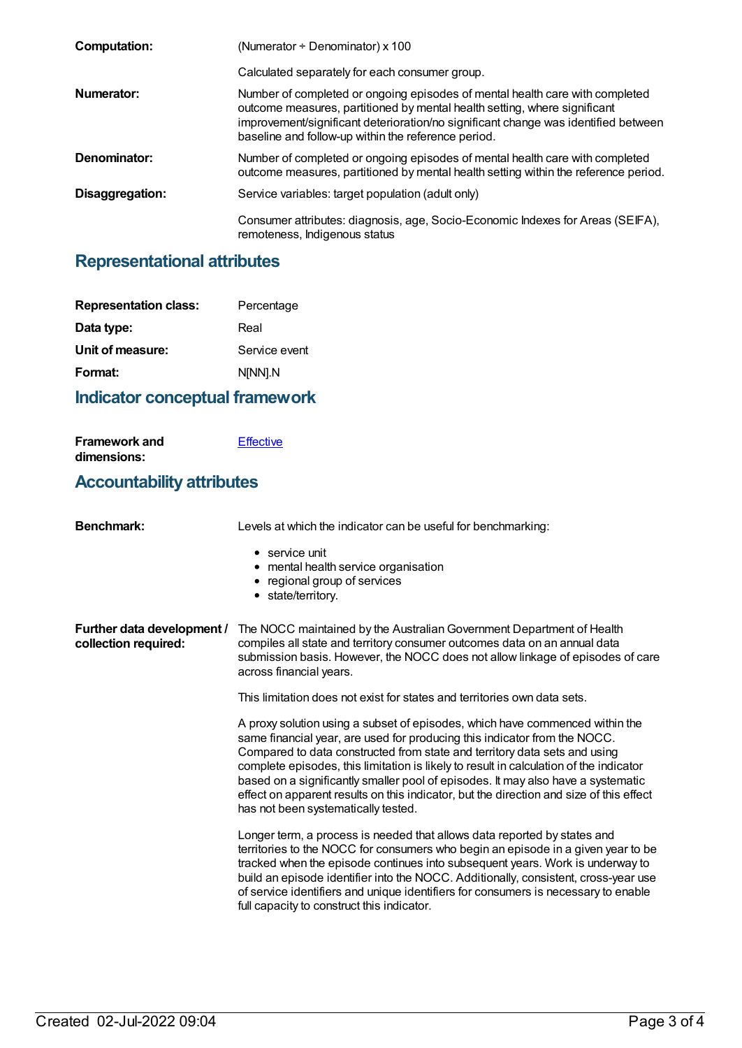| <b>Computation:</b> | (Numerator $\div$ Denominator) x 100                                                                                                                                                                                                                                                                   |
|---------------------|--------------------------------------------------------------------------------------------------------------------------------------------------------------------------------------------------------------------------------------------------------------------------------------------------------|
|                     | Calculated separately for each consumer group.                                                                                                                                                                                                                                                         |
| Numerator:          | Number of completed or ongoing episodes of mental health care with completed<br>outcome measures, partitioned by mental health setting, where significant<br>improvement/significant deterioration/no significant change was identified between<br>baseline and follow-up within the reference period. |
| Denominator:        | Number of completed or ongoing episodes of mental health care with completed<br>outcome measures, partitioned by mental health setting within the reference period.                                                                                                                                    |
| Disaggregation:     | Service variables: target population (adult only)                                                                                                                                                                                                                                                      |
|                     | Consumer attributes: diagnosis, age, Socio-Economic Indexes for Areas (SEIFA),<br>remoteness, Indigenous status                                                                                                                                                                                        |

## **Representational attributes**

| <b>Representation class:</b> | Percentage    |
|------------------------------|---------------|
| Data type:                   | Real          |
| Unit of measure:             | Service event |
| Format:                      | N[NN].N       |
|                              |               |

## **Indicator conceptual framework**

| <b>Framework and</b> | Effective |
|----------------------|-----------|
| dimensions:          |           |
|                      |           |

### **Accountability attributes**

| <b>Benchmark:</b>                                  | Levels at which the indicator can be useful for benchmarking:                                                                                                                                                                                                                                                                                                                                                                                                                                                                                          |
|----------------------------------------------------|--------------------------------------------------------------------------------------------------------------------------------------------------------------------------------------------------------------------------------------------------------------------------------------------------------------------------------------------------------------------------------------------------------------------------------------------------------------------------------------------------------------------------------------------------------|
|                                                    | $\bullet$ service unit<br>• mental health service organisation<br>• regional group of services<br>• state/territory.                                                                                                                                                                                                                                                                                                                                                                                                                                   |
| Further data development /<br>collection required: | The NOCC maintained by the Australian Government Department of Health<br>compiles all state and territory consumer outcomes data on an annual data<br>submission basis. However, the NOCC does not allow linkage of episodes of care<br>across financial years.                                                                                                                                                                                                                                                                                        |
|                                                    | This limitation does not exist for states and territories own data sets.                                                                                                                                                                                                                                                                                                                                                                                                                                                                               |
|                                                    | A proxy solution using a subset of episodes, which have commenced within the<br>same financial year, are used for producing this indicator from the NOCC.<br>Compared to data constructed from state and territory data sets and using<br>complete episodes, this limitation is likely to result in calculation of the indicator<br>based on a significantly smaller pool of episodes. It may also have a systematic<br>effect on apparent results on this indicator, but the direction and size of this effect<br>has not been systematically tested. |
|                                                    | Longer term, a process is needed that allows data reported by states and<br>territories to the NOCC for consumers who begin an episode in a given year to be<br>tracked when the episode continues into subsequent years. Work is underway to<br>build an episode identifier into the NOCC. Additionally, consistent, cross-year use<br>of service identifiers and unique identifiers for consumers is necessary to enable<br>full capacity to construct this indicator.                                                                               |